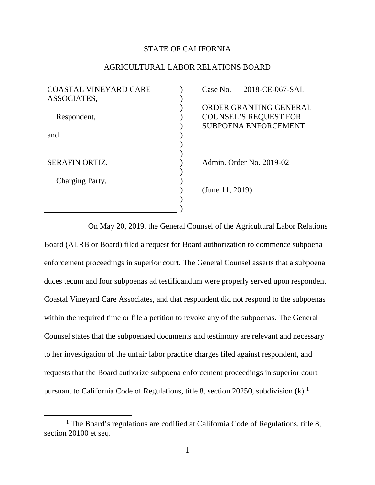## STATE OF CALIFORNIA

## AGRICULTURAL LABOR RELATIONS BOARD

| <b>COASTAL VINEYARD CARE</b> | Case No.           | 2018-CE-067-SAL              |
|------------------------------|--------------------|------------------------------|
| ASSOCIATES,                  |                    |                              |
|                              |                    | ORDER GRANTING GENERAL       |
| Respondent,                  |                    | <b>COUNSEL'S REQUEST FOR</b> |
|                              |                    | <b>SUBPOENA ENFORCEMENT</b>  |
| and                          |                    |                              |
|                              |                    |                              |
|                              |                    |                              |
| <b>SERAFIN ORTIZ,</b>        |                    | Admin. Order No. 2019-02     |
|                              |                    |                              |
| Charging Party.              |                    |                              |
|                              | (June $11, 2019$ ) |                              |
|                              |                    |                              |
|                              |                    |                              |

On May 20, 2019, the General Counsel of the Agricultural Labor Relations Board (ALRB or Board) filed a request for Board authorization to commence subpoena enforcement proceedings in superior court. The General Counsel asserts that a subpoena duces tecum and four subpoenas ad testificandum were properly served upon respondent Coastal Vineyard Care Associates, and that respondent did not respond to the subpoenas within the required time or file a petition to revoke any of the subpoenas. The General Counsel states that the subpoenaed documents and testimony are relevant and necessary to her investigation of the unfair labor practice charges filed against respondent, and requests that the Board authorize subpoena enforcement proceedings in superior court pursuant to California Code of Regulations, title 8, section 20250, subdivision (k).[1](#page-0-0)

 $\overline{a}$ 

<span id="page-0-0"></span><sup>&</sup>lt;sup>1</sup> The Board's regulations are codified at California Code of Regulations, title 8, section 20100 et seq.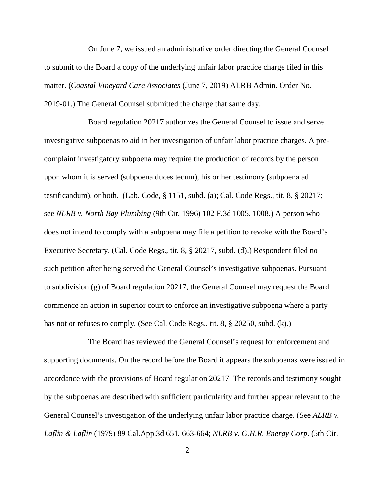On June 7, we issued an administrative order directing the General Counsel to submit to the Board a copy of the underlying unfair labor practice charge filed in this matter. (*Coastal Vineyard Care Associates* (June 7, 2019) ALRB Admin. Order No. 2019-01.) The General Counsel submitted the charge that same day.

Board regulation 20217 authorizes the General Counsel to issue and serve investigative subpoenas to aid in her investigation of unfair labor practice charges. A precomplaint investigatory subpoena may require the production of records by the person upon whom it is served (subpoena duces tecum), his or her testimony (subpoena ad testificandum), or both. (Lab. Code, § 1151, subd. (a); Cal. Code Regs., tit. 8, § 20217; see *NLRB v. North Bay Plumbing* (9th Cir. 1996) 102 F.3d 1005, 1008.) A person who does not intend to comply with a subpoena may file a petition to revoke with the Board's Executive Secretary. (Cal. Code Regs., tit. 8, § 20217, subd. (d).) Respondent filed no such petition after being served the General Counsel's investigative subpoenas. Pursuant to subdivision (g) of Board regulation 20217, the General Counsel may request the Board commence an action in superior court to enforce an investigative subpoena where a party has not or refuses to comply. (See Cal. Code Regs., tit. 8, § 20250, subd. (k).)

The Board has reviewed the General Counsel's request for enforcement and supporting documents. On the record before the Board it appears the subpoenas were issued in accordance with the provisions of Board regulation 20217. The records and testimony sought by the subpoenas are described with sufficient particularity and further appear relevant to the General Counsel's investigation of the underlying unfair labor practice charge. (See *ALRB v. Laflin & Laflin* (1979) 89 Cal.App.3d 651, 663-664; *NLRB v. G.H.R. Energy Corp*. (5th Cir.

2